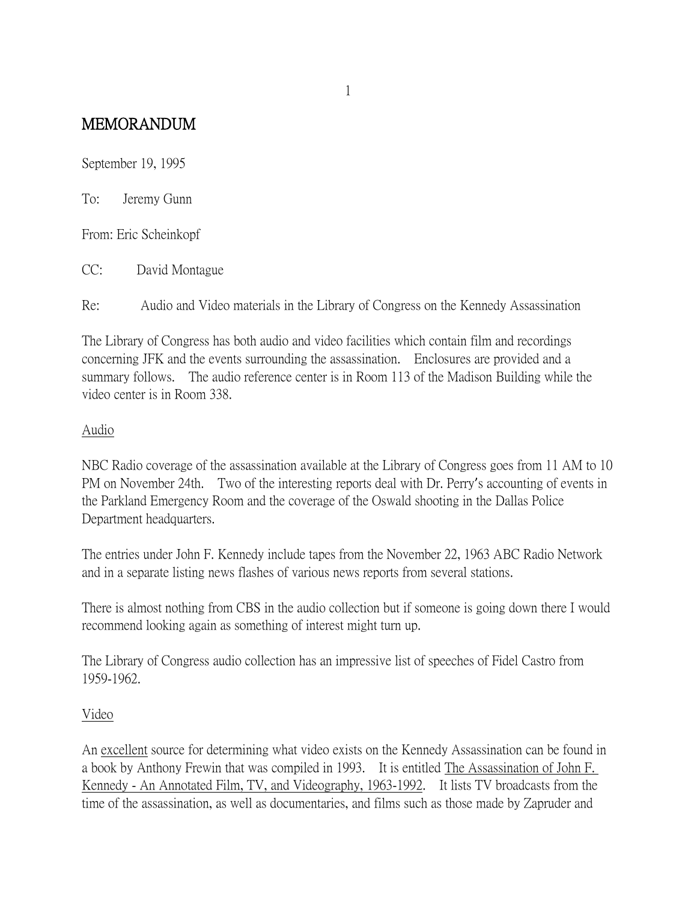## MEMORANDUM

September 19, 1995

To: Jeremy Gunn

From: Eric Scheinkopf

CC: David Montague

Re: Audio and Video materials in the Library of Congress on the Kennedy Assassination

The Library of Congress has both audio and video facilities which contain film and recordings concerning JFK and the events surrounding the assassination. Enclosures are provided and a summary follows. The audio reference center is in Room 113 of the Madison Building while the video center is in Room 338.

## Audio

NBC Radio coverage of the assassination available at the Library of Congress goes from 11 AM to 10 PM on November 24th. Two of the interesting reports deal with Dr. Perry's accounting of events in the Parkland Emergency Room and the coverage of the Oswald shooting in the Dallas Police Department headquarters.

The entries under John F. Kennedy include tapes from the November 22, 1963 ABC Radio Network and in a separate listing news flashes of various news reports from several stations.

There is almost nothing from CBS in the audio collection but if someone is going down there I would recommend looking again as something of interest might turn up.

The Library of Congress audio collection has an impressive list of speeches of Fidel Castro from 1959-1962.

## Video

An excellent source for determining what video exists on the Kennedy Assassination can be found in a book by Anthony Frewin that was compiled in 1993. It is entitled The Assassination of John F. Kennedy - An Annotated Film, TV, and Videography, 1963-1992. It lists TV broadcasts from the time of the assassination, as well as documentaries, and films such as those made by Zapruder and